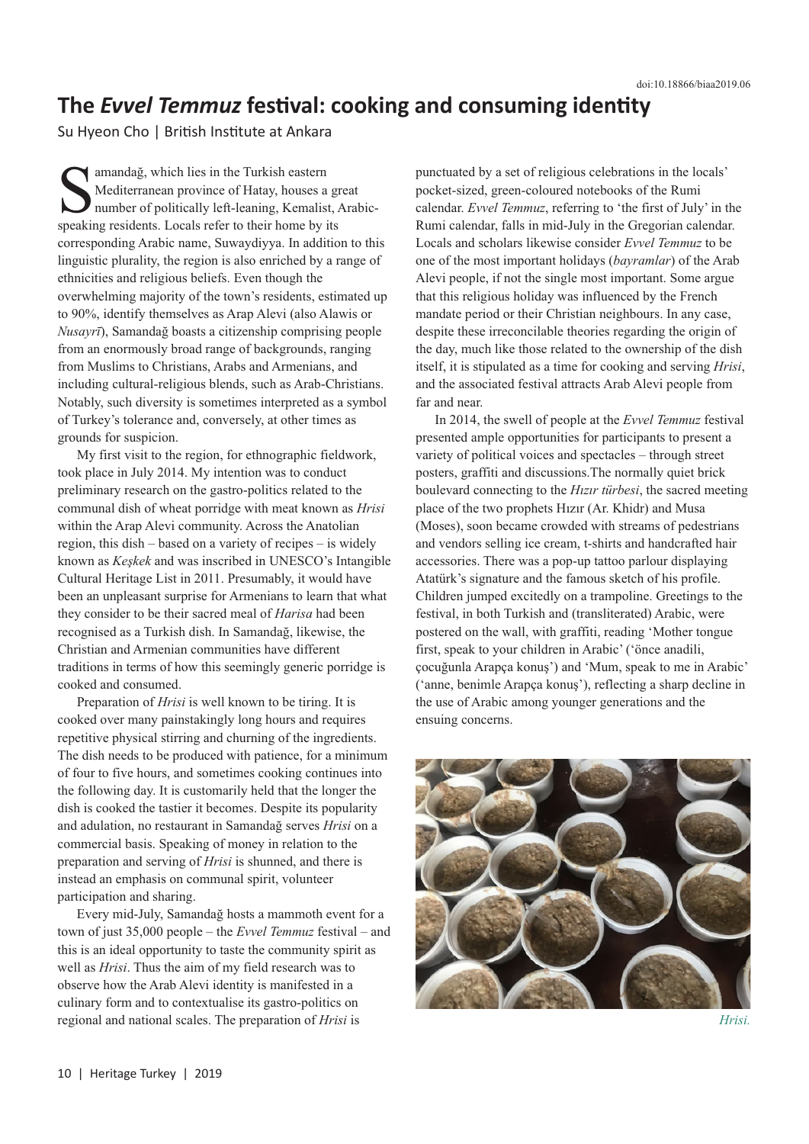## **The** *Evvel Temmuz* **festival: cooking and consuming identity**

Su Hyeon Cho | British Institute at Ankara

Samandağ, which lies in the Turkish eastern<br>
Mediterranean province of Hatay, houses a<br>
number of politically left-leaning, Kemalis<br>
speaking residents Locals refer to their home by Mediterranean province of Hatay, houses a great number of politically left-leaning, Kemalist, Arabicspeaking residents. Locals refer to their home by its corresponding Arabic name, Suwaydiyya. In addition to this linguistic plurality, the region is also enriched by a range of ethnicities and religious beliefs. Even though the overwhelming majority of the town's residents, estimated up to 90%, identify themselves as Arap Alevi (also Alawis or *Nusayrī*), Samandağ boasts a citizenship comprising people from an enormously broad range of backgrounds, ranging from Muslims to Christians, Arabs and Armenians, and including cultural-religious blends, such as Arab-Christians. Notably, such diversity is sometimes interpreted as a symbol of Turkey's tolerance and, conversely, at other times as grounds for suspicion.

My first visit to the region, for ethnographic fieldwork, took place in July 2014. My intention was to conduct preliminary research on the gastro-politics related to the communal dish of wheat porridge with meat known as *Hrisi* within the Arap Alevi community. Across the Anatolian region, this dish – based on a variety of recipes – is widely known as *Keşkek* and was inscribed in UNESCO's Intangible Cultural Heritage List in 2011. Presumably, it would have been an unpleasant surprise for Armenians to learn that what they consider to be their sacred meal of *Harisa* had been recognised as a Turkish dish. In Samandağ, likewise, the Christian and Armenian communities have different traditions in terms of how this seemingly generic porridge is cooked and consumed.

Preparation of *Hrisi* is well known to be tiring. It is cooked over many painstakingly long hours and requires repetitive physical stirring and churning of the ingredients. The dish needs to be produced with patience, for a minimum of four to five hours, and sometimes cooking continues into the following day. It is customarily held that the longer the dish is cooked the tastier it becomes. Despite its popularity and adulation, no restaurant in Samandağ serves *Hrisi* on a commercial basis. Speaking of money in relation to the preparation and serving of *Hrisi* is shunned, and there is instead an emphasis on communal spirit, volunteer participation and sharing.

Every mid-July, Samandağ hosts a mammoth event for a town of just 35,000 people – the *Evvel Temmuz* festival – and this is an ideal opportunity to taste the community spirit as well as *Hrisi*. Thus the aim of my field research was to observe how the Arab Alevi identity is manifested in a culinary form and to contextualise its gastro-politics on regional and national scales. The preparation of *Hrisi* is

punctuated by a set of religious celebrations in the locals' pocket-sized, green-coloured notebooks of the Rumi calendar. *Evvel Temmuz*, referring to 'the first of July' in the Rumi calendar, falls in mid-July in the Gregorian calendar. Locals and scholars likewise consider *Evvel Temmuz* to be one of the most important holidays (*bayramlar*) of the Arab Alevi people, if not the single most important. Some argue that this religious holiday was influenced by the French mandate period or their Christian neighbours. In any case, despite these irreconcilable theories regarding the origin of the day, much like those related to the ownership of the dish itself, it is stipulated as a time for cooking and serving *Hrisi*, and the associated festival attracts Arab Alevi people from far and near.

In 2014, the swell of people at the *Evvel Temmuz* festival presented ample opportunities for participants to present a variety of political voices and spectacles – through street posters, graffiti and discussions.The normally quiet brick boulevard connecting to the *Hızır türbesi*, the sacred meeting place of the two prophets Hızır (Ar. Khidr) and Musa (Moses), soon became crowded with streams of pedestrians and vendors selling ice cream, t-shirts and handcrafted hair accessories. There was a pop-up tattoo parlour displaying Atatürk's signature and the famous sketch of his profile. Children jumped excitedly on a trampoline. Greetings to the festival, in both Turkish and (transliterated) Arabic, were postered on the wall, with graffiti, reading 'Mother tongue first, speak to your children in Arabic' ('önce anadili, çocuğunla Arapça konuş') and 'Mum, speak to me in Arabic' ('anne, benimle Arapça konuş'), reflecting a sharp decline in the use of Arabic among younger generations and the ensuing concerns.



*Hrisi.*